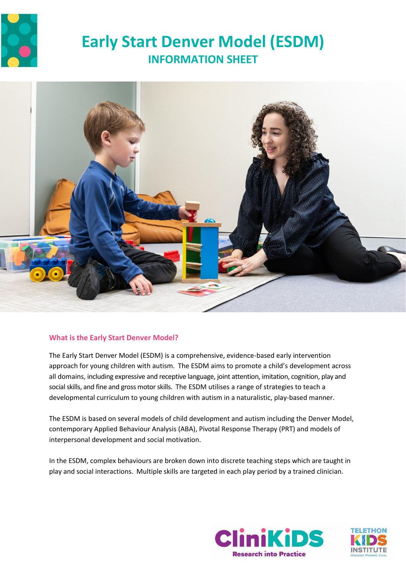

# **Early Start Denver Model (ESDM) INFORMATION SHEET**



# **What is the Early Start Denver Model?**

The Early Start Denver Model (ESDM) is a comprehensive, evidence-based early intervention approach for young children with autism. The ESDM aims to promote a child's development across all domains, including expressive and receptive language, joint attention, imitation, cognition, play and social skills, and fine and gross motor skills. The ESDM utilises a range of strategies to teach a developmental curriculum to young children with autism in a naturalistic, play-based manner.

The ESDM is based on several models of child development and autism including the Denver Model, contemporary Applied Behaviour Analysis (ABA), Pivotal Response Therapy (PRT) and models of interpersonal development and social motivation.

In the ESDM, complex behaviours are broken down into discrete teaching steps which are taught in play and social interactions. Multiple skills are targeted in each play period by a trained clinician.